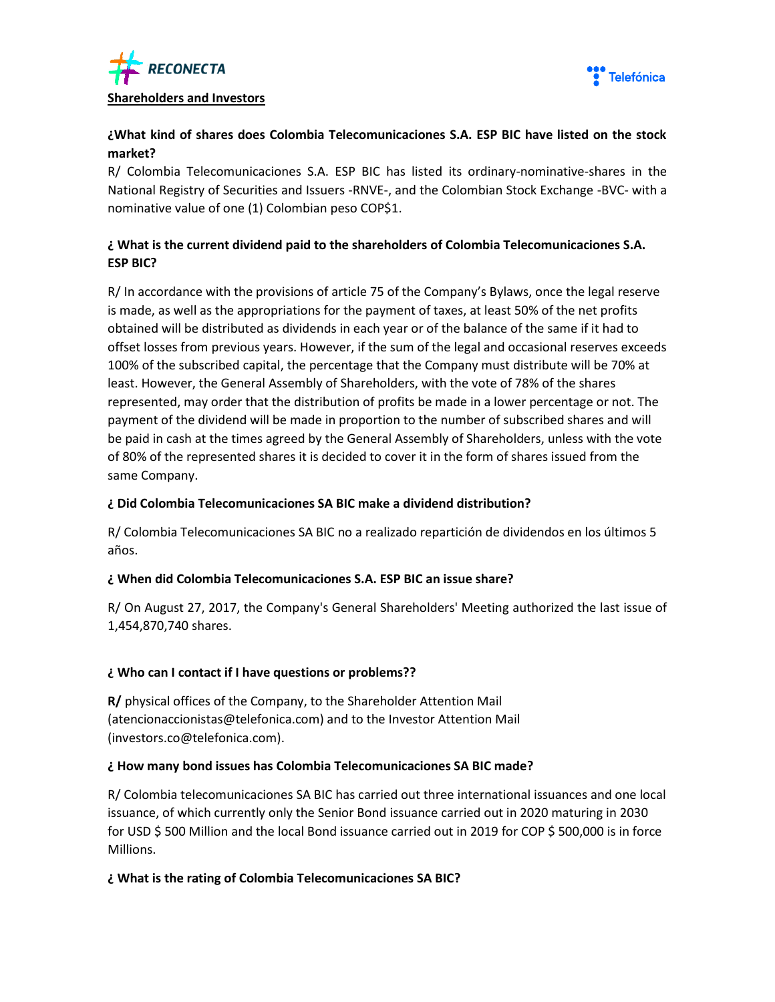



## **¿What kind of shares does Colombia Telecomunicaciones S.A. ESP BIC have listed on the stock market?**

R/ Colombia Telecomunicaciones S.A. ESP BIC has listed its ordinary-nominative-shares in the National Registry of Securities and Issuers -RNVE-, and the Colombian Stock Exchange -BVC- with a nominative value of one (1) Colombian peso COP\$1.

# **¿ What is the current dividend paid to the shareholders of Colombia Telecomunicaciones S.A. ESP BIC?**

R/ In accordance with the provisions of article 75 of the Company's Bylaws, once the legal reserve is made, as well as the appropriations for the payment of taxes, at least 50% of the net profits obtained will be distributed as dividends in each year or of the balance of the same if it had to offset losses from previous years. However, if the sum of the legal and occasional reserves exceeds 100% of the subscribed capital, the percentage that the Company must distribute will be 70% at least. However, the General Assembly of Shareholders, with the vote of 78% of the shares represented, may order that the distribution of profits be made in a lower percentage or not. The payment of the dividend will be made in proportion to the number of subscribed shares and will be paid in cash at the times agreed by the General Assembly of Shareholders, unless with the vote of 80% of the represented shares it is decided to cover it in the form of shares issued from the same Company.

### **¿ Did Colombia Telecomunicaciones SA BIC make a dividend distribution?**

R/ Colombia Telecomunicaciones SA BIC no a realizado repartición de dividendos en los últimos 5 años.

## **¿ When did Colombia Telecomunicaciones S.A. ESP BIC an issue share?**

R/ On August 27, 2017, the Company's General Shareholders' Meeting authorized the last issue of 1,454,870,740 shares.

## **¿ Who can I contact if I have questions or problems??**

**R/** physical offices of the Company, to the Shareholder Attention Mail (atencionaccionistas@telefonica.com) and to the Investor Attention Mail (investors.co@telefonica.com).

## **¿ How many bond issues has Colombia Telecomunicaciones SA BIC made?**

R/ Colombia telecomunicaciones SA BIC has carried out three international issuances and one local issuance, of which currently only the Senior Bond issuance carried out in 2020 maturing in 2030 for USD \$ 500 Million and the local Bond issuance carried out in 2019 for COP \$ 500,000 is in force Millions.

### **¿ What is the rating of Colombia Telecomunicaciones SA BIC?**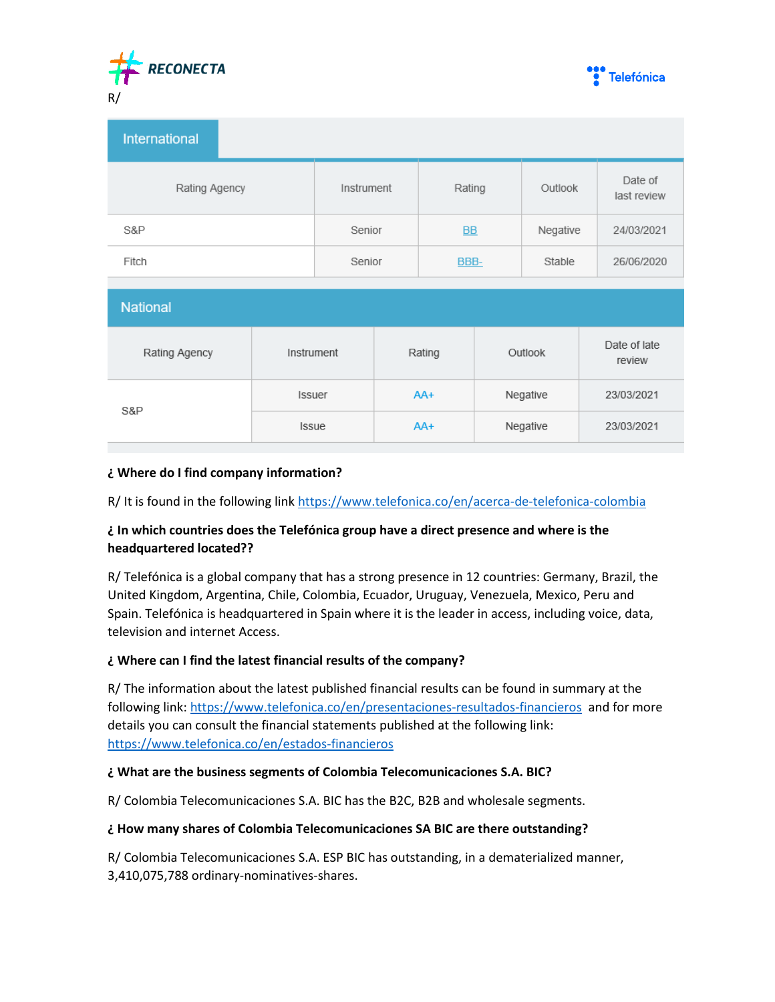



| <b>International</b> |            |           |          |                        |
|----------------------|------------|-----------|----------|------------------------|
| Rating Agency        | Instrument | Rating    | Outlook  | Date of<br>last review |
| S&P                  | Senior     | <b>BB</b> | Negative | 24/03/2021             |
| Fitch                | Senior     | BBB-      | Stable   | 26/06/2020             |

| <b>National</b> |               |        |          |                        |  |  |
|-----------------|---------------|--------|----------|------------------------|--|--|
| Rating Agency   | Instrument    | Rating | Outlook  | Date of late<br>review |  |  |
| S&P             | <b>Issuer</b> | $AA+$  | Negative | 23/03/2021             |  |  |
|                 | <b>Issue</b>  | $AA+$  | Negative | 23/03/2021             |  |  |

### **¿ Where do I find company information?**

R/ It is found in the following link<https://www.telefonica.co/en/acerca-de-telefonica-colombia>

# **¿ In which countries does the Telefónica group have a direct presence and where is the headquartered located??**

R/ Telefónica is a global company that has a strong presence in 12 countries: Germany, Brazil, the United Kingdom, Argentina, Chile, Colombia, Ecuador, Uruguay, Venezuela, Mexico, Peru and Spain. Telefónica is headquartered in Spain where it is the leader in access, including voice, data, television and internet Access.

### **¿ Where can I find the latest financial results of the company?**

R/ The information about the latest published financial results can be found in summary at the following link:<https://www.telefonica.co/en/presentaciones-resultados-financieros> and for more details you can consult the financial statements published at the following link: <https://www.telefonica.co/en/estados-financieros>

### **¿ What are the business segments of Colombia Telecomunicaciones S.A. BIC?**

R/ Colombia Telecomunicaciones S.A. BIC has the B2C, B2B and wholesale segments.

### **¿ How many shares of Colombia Telecomunicaciones SA BIC are there outstanding?**

R/ Colombia Telecomunicaciones S.A. ESP BIC has outstanding, in a dematerialized manner, 3,410,075,788 ordinary-nominatives-shares.